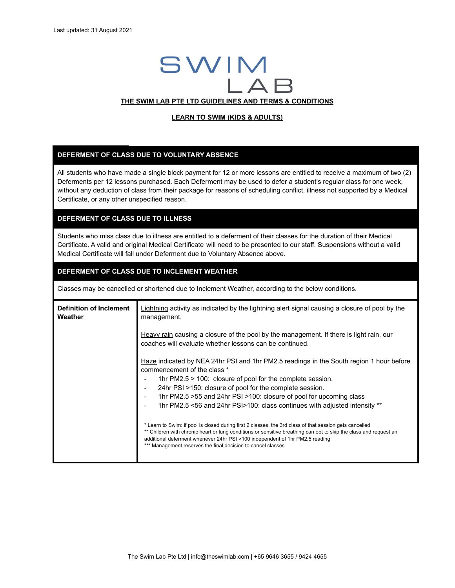# SWIM  $\overline{A}$ **THE SWIM LAB PTE LTD GUIDELINES AND TERMS & CONDITIONS**

#### **LEARN TO SWIM (KIDS & ADULTS)**

#### **DEFERMENT OF CLASS DUE TO VOLUNTARY ABSENCE**

All students who have made a single block payment for 12 or more lessons are entitled to receive a maximum of two (2) Deferments per 12 lessons purchased. Each Deferment may be used to defer a student's regular class for one week, without any deduction of class from their package for reasons of scheduling conflict, illness not supported by a Medical Certificate, or any other unspecified reason.

# **DEFERMENT OF CLASS DUE TO ILLNESS**

Students who miss class due to illness are entitled to a deferment of their classes for the duration of their Medical Certificate. A valid and original Medical Certificate will need to be presented to our staff. Suspensions without a valid Medical Certificate will fall under Deferment due to Voluntary Absence above.

# **DEFERMENT OF CLASS DUE TO INCLEMENT WEATHER**

Classes may be cancelled or shortened due to Inclement Weather, according to the below conditions.

| <b>Definition of Inclement</b><br>Weather | Lightning activity as indicated by the lightning alert signal causing a closure of pool by the<br>management.                                                                                                                                                                                                                                                                                              |
|-------------------------------------------|------------------------------------------------------------------------------------------------------------------------------------------------------------------------------------------------------------------------------------------------------------------------------------------------------------------------------------------------------------------------------------------------------------|
|                                           | Heavy rain causing a closure of the pool by the management. If there is light rain, our<br>coaches will evaluate whether lessons can be continued.                                                                                                                                                                                                                                                         |
|                                           | Haze indicated by NEA 24hr PSI and 1hr PM2.5 readings in the South region 1 hour before<br>commencement of the class *<br>1hr $PM2.5 > 100$ : closure of pool for the complete session.<br>24hr PSI >150: closure of pool for the complete session.<br>1hr PM2.5 > 55 and 24hr PSI > 100: closure of pool for upcoming class<br>1hr PM2.5 <56 and 24hr PSI>100: class continues with adjusted intensity ** |
|                                           | * Learn to Swim: if pool is closed during first 2 classes, the 3rd class of that session gets cancelled<br>** Children with chronic heart or lung conditions or sensitive breathing can opt to skip the class and request an<br>additional deferment whenever 24hr PSI >100 independent of 1hr PM2.5 reading<br>*** Management reserves the final decision to cancel classes                               |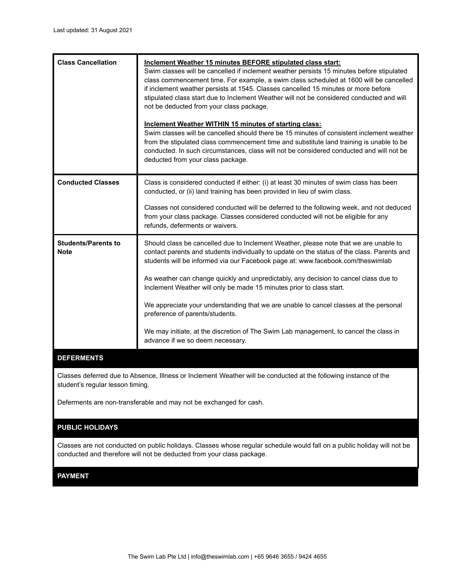| <b>Class Cancellation</b>                                      | Inclement Weather 15 minutes BEFORE stipulated class start:<br>Swim classes will be cancelled if inclement weather persists 15 minutes before stipulated<br>class commencement time. For example, a swim class scheduled at 1600 will be cancelled<br>if inclement weather persists at 1545. Classes cancelled 15 minutes or more before<br>stipulated class start due to Inclement Weather will not be considered conducted and will<br>not be deducted from your class package.<br>Inclement Weather WITHIN 15 minutes of starting class:<br>Swim classes will be cancelled should there be 15 minutes of consistent inclement weather<br>from the stipulated class commencement time and substitute land training is unable to be<br>conducted. In such circumstances, class will not be considered conducted and will not be<br>deducted from your class package. |
|----------------------------------------------------------------|-----------------------------------------------------------------------------------------------------------------------------------------------------------------------------------------------------------------------------------------------------------------------------------------------------------------------------------------------------------------------------------------------------------------------------------------------------------------------------------------------------------------------------------------------------------------------------------------------------------------------------------------------------------------------------------------------------------------------------------------------------------------------------------------------------------------------------------------------------------------------|
| <b>Conducted Classes</b>                                       | Class is considered conducted if either: (i) at least 30 minutes of swim class has been<br>conducted, or (ii) land training has been provided in lieu of swim class.<br>Classes not considered conducted will be deferred to the following week, and not deduced<br>from your class package. Classes considered conducted will not be eligible for any<br>refunds, deferments or waivers.                                                                                                                                                                                                                                                                                                                                                                                                                                                                             |
| <b>Students/Parents to</b><br><b>Note</b><br><b>DEFERMENTS</b> | Should class be cancelled due to Inclement Weather, please note that we are unable to<br>contact parents and students individually to update on the status of the class. Parents and<br>students will be informed via our Facebook page at: www.facebook.com/theswimlab<br>As weather can change quickly and unpredictably, any decision to cancel class due to<br>Inclement Weather will only be made 15 minutes prior to class start.<br>We appreciate your understanding that we are unable to cancel classes at the personal<br>preference of parents/students.<br>We may initiate, at the discretion of The Swim Lab management, to cancel the class in<br>advance if we so deem necessary.                                                                                                                                                                      |

Classes deferred due to Absence, Illness or Inclement Weather will be conducted at the following instance of the student's regular lesson timing.

Deferments are non-transferable and may not be exchanged for cash.

# **PUBLIC HOLIDAYS**

Classes are not conducted on public holidays. Classes whose regular schedule would fall on a public holiday will not be conducted and therefore will not be deducted from your class package.

# **PAYMENT**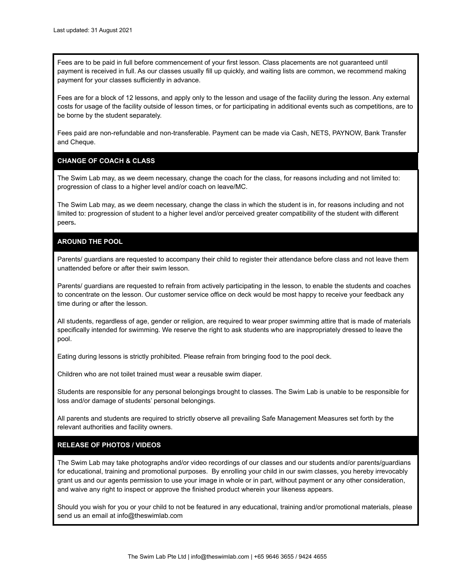Fees are to be paid in full before commencement of your first lesson. Class placements are not guaranteed until payment is received in full. As our classes usually fill up quickly, and waiting lists are common, we recommend making payment for your classes sufficiently in advance.

Fees are for a block of 12 lessons, and apply only to the lesson and usage of the facility during the lesson. Any external costs for usage of the facility outside of lesson times, or for participating in additional events such as competitions, are to be borne by the student separately.

Fees paid are non-refundable and non-transferable. Payment can be made via Cash, NETS, PAYNOW, Bank Transfer and Cheque.

# **CHANGE OF COACH & CLASS**

The Swim Lab may, as we deem necessary, change the coach for the class, for reasons including and not limited to: progression of class to a higher level and/or coach on leave/MC.

The Swim Lab may, as we deem necessary, change the class in which the student is in, for reasons including and not limited to: progression of student to a higher level and/or perceived greater compatibility of the student with different peers**.**

#### **AROUND THE POOL**

Parents/ guardians are requested to accompany their child to register their attendance before class and not leave them unattended before or after their swim lesson.

Parents/ guardians are requested to refrain from actively participating in the lesson, to enable the students and coaches to concentrate on the lesson. Our customer service office on deck would be most happy to receive your feedback any time during or after the lesson.

All students, regardless of age, gender or religion, are required to wear proper swimming attire that is made of materials specifically intended for swimming. We reserve the right to ask students who are inappropriately dressed to leave the pool.

Eating during lessons is strictly prohibited. Please refrain from bringing food to the pool deck.

Children who are not toilet trained must wear a reusable swim diaper.

Students are responsible for any personal belongings brought to classes. The Swim Lab is unable to be responsible for loss and/or damage of students' personal belongings.

All parents and students are required to strictly observe all prevailing Safe Management Measures set forth by the relevant authorities and facility owners.

#### **RELEASE OF PHOTOS / VIDEOS**

The Swim Lab may take photographs and/or video recordings of our classes and our students and/or parents/guardians for educational, training and promotional purposes. By enrolling your child in our swim classes, you hereby irrevocably grant us and our agents permission to use your image in whole or in part, without payment or any other consideration, and waive any right to inspect or approve the finished product wherein your likeness appears.

Should you wish for you or your child to not be featured in any educational, training and/or promotional materials, please send us an email at info@theswimlab.com